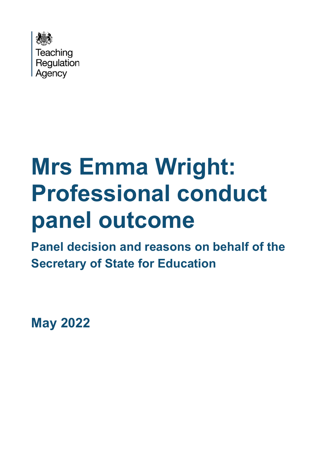

# **Mrs Emma Wright: Professional conduct panel outcome**

**Panel decision and reasons on behalf of the Secretary of State for Education**

**May 2022**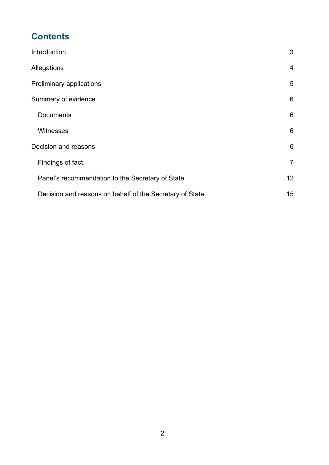# **Contents**

| Introduction                                             | 3               |
|----------------------------------------------------------|-----------------|
| Allegations                                              | $\overline{4}$  |
| Preliminary applications                                 | 5               |
| Summary of evidence                                      | 6               |
| <b>Documents</b>                                         | 6               |
| <b>Witnesses</b>                                         | 6               |
| Decision and reasons                                     | 6               |
| Findings of fact                                         | $\overline{7}$  |
| Panel's recommendation to the Secretary of State         | 12 <sub>2</sub> |
| Decision and reasons on behalf of the Secretary of State | 15              |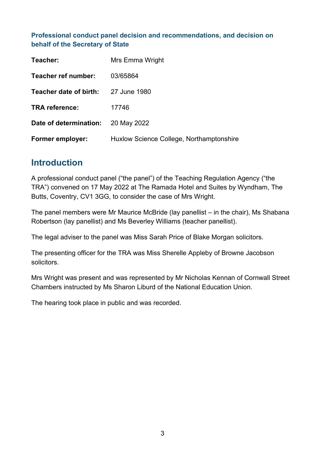#### **Professional conduct panel decision and recommendations, and decision on behalf of the Secretary of State**

| Teacher:                | Mrs Emma Wright                          |
|-------------------------|------------------------------------------|
| Teacher ref number:     | 03/65864                                 |
| Teacher date of birth:  | 27 June 1980                             |
| <b>TRA reference:</b>   | 17746                                    |
| Date of determination:  | 20 May 2022                              |
| <b>Former employer:</b> | Huxlow Science College, Northamptonshire |

## <span id="page-2-0"></span>**Introduction**

A professional conduct panel ("the panel") of the Teaching Regulation Agency ("the TRA") convened on 17 May 2022 at The Ramada Hotel and Suites by Wyndham, The Butts, Coventry, CV1 3GG, to consider the case of Mrs Wright.

The panel members were Mr Maurice McBride (lay panellist – in the chair), Ms Shabana Robertson (lay panellist) and Ms Beverley Williams (teacher panellist).

The legal adviser to the panel was Miss Sarah Price of Blake Morgan solicitors.

The presenting officer for the TRA was Miss Sherelle Appleby of Browne Jacobson solicitors.

Mrs Wright was present and was represented by Mr Nicholas Kennan of Cornwall Street Chambers instructed by Ms Sharon Liburd of the National Education Union.

The hearing took place in public and was recorded.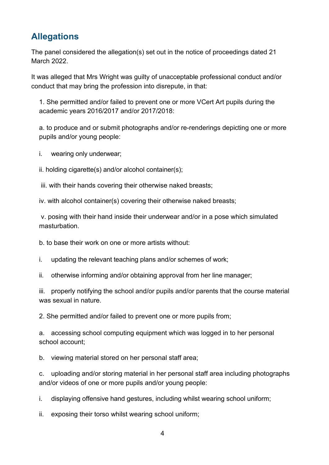# <span id="page-3-0"></span>**Allegations**

The panel considered the allegation(s) set out in the notice of proceedings dated 21 March 2022.

It was alleged that Mrs Wright was guilty of unacceptable professional conduct and/or conduct that may bring the profession into disrepute, in that:

1. She permitted and/or failed to prevent one or more VCert Art pupils during the academic years 2016/2017 and/or 2017/2018:

a. to produce and or submit photographs and/or re-renderings depicting one or more pupils and/or young people:

i. wearing only underwear;

ii. holding cigarette(s) and/or alcohol container(s);

iii. with their hands covering their otherwise naked breasts;

iv. with alcohol container(s) covering their otherwise naked breasts;

v. posing with their hand inside their underwear and/or in a pose which simulated masturbation.

b. to base their work on one or more artists without:

i. updating the relevant teaching plans and/or schemes of work;

ii. otherwise informing and/or obtaining approval from her line manager;

iii. properly notifying the school and/or pupils and/or parents that the course material was sexual in nature.

2. She permitted and/or failed to prevent one or more pupils from;

a. accessing school computing equipment which was logged in to her personal school account;

b. viewing material stored on her personal staff area;

c. uploading and/or storing material in her personal staff area including photographs and/or videos of one or more pupils and/or young people:

i. displaying offensive hand gestures, including whilst wearing school uniform;

ii. exposing their torso whilst wearing school uniform;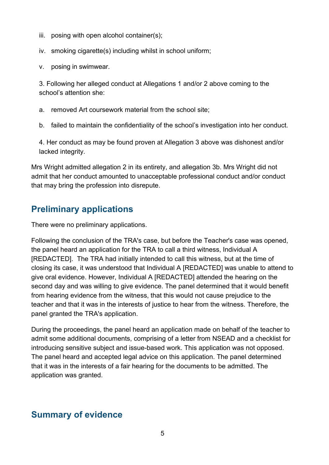- iii. posing with open alcohol container(s);
- iv. smoking cigarette(s) including whilst in school uniform;
- v. posing in swimwear.

3. Following her alleged conduct at Allegations 1 and/or 2 above coming to the school's attention she:

a. removed Art coursework material from the school site;

b. failed to maintain the confidentiality of the school's investigation into her conduct.

4. Her conduct as may be found proven at Allegation 3 above was dishonest and/or lacked integrity.

Mrs Wright admitted allegation 2 in its entirety, and allegation 3b. Mrs Wright did not admit that her conduct amounted to unacceptable professional conduct and/or conduct that may bring the profession into disrepute.

## <span id="page-4-0"></span>**Preliminary applications**

There were no preliminary applications.

Following the conclusion of the TRA's case, but before the Teacher's case was opened, the panel heard an application for the TRA to call a third witness, Individual A [REDACTED]. The TRA had initially intended to call this witness, but at the time of closing its case, it was understood that Individual A [REDACTED] was unable to attend to give oral evidence. However, Individual A [REDACTED] attended the hearing on the second day and was willing to give evidence. The panel determined that it would benefit from hearing evidence from the witness, that this would not cause prejudice to the teacher and that it was in the interests of justice to hear from the witness. Therefore, the panel granted the TRA's application.

During the proceedings, the panel heard an application made on behalf of the teacher to admit some additional documents, comprising of a letter from NSEAD and a checklist for introducing sensitive subject and issue-based work. This application was not opposed. The panel heard and accepted legal advice on this application. The panel determined that it was in the interests of a fair hearing for the documents to be admitted. The application was granted.

# <span id="page-4-1"></span>**Summary of evidence**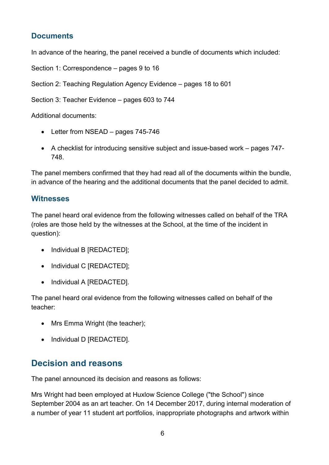### <span id="page-5-0"></span>**Documents**

In advance of the hearing, the panel received a bundle of documents which included:

Section 1: Correspondence – pages 9 to 16

Section 2: Teaching Regulation Agency Evidence – pages 18 to 601

Section 3: Teacher Evidence – pages 603 to 744

Additional documents:

- Letter from NSEAD pages 745-746
- A checklist for introducing sensitive subject and issue-based work pages 747- 748.

The panel members confirmed that they had read all of the documents within the bundle, in advance of the hearing and the additional documents that the panel decided to admit.

#### <span id="page-5-1"></span>**Witnesses**

The panel heard oral evidence from the following witnesses called on behalf of the TRA (roles are those held by the witnesses at the School, at the time of the incident in question):

- Individual B [REDACTED];
- Individual C [REDACTED];
- Individual A [REDACTED].

The panel heard oral evidence from the following witnesses called on behalf of the teacher:

- Mrs Emma Wright (the teacher):
- Individual D [REDACTED].

## <span id="page-5-2"></span>**Decision and reasons**

The panel announced its decision and reasons as follows:

Mrs Wright had been employed at Huxlow Science College ("the School") since September 2004 as an art teacher. On 14 December 2017, during internal moderation of a number of year 11 student art portfolios, inappropriate photographs and artwork within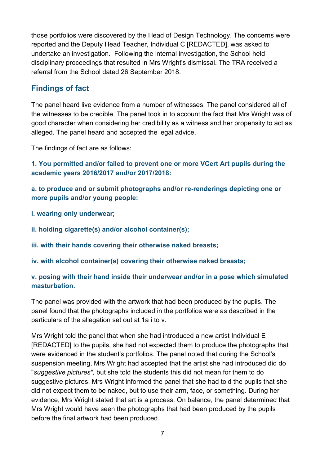those portfolios were discovered by the Head of Design Technology. The concerns were reported and the Deputy Head Teacher, Individual C [REDACTED], was asked to undertake an investigation. Following the internal investigation, the School held disciplinary proceedings that resulted in Mrs Wright's dismissal. The TRA received a referral from the School dated 26 September 2018.

## <span id="page-6-0"></span>**Findings of fact**

The panel heard live evidence from a number of witnesses. The panel considered all of the witnesses to be credible. The panel took in to account the fact that Mrs Wright was of good character when considering her credibility as a witness and her propensity to act as alleged. The panel heard and accepted the legal advice.

The findings of fact are as follows:

**1. You permitted and/or failed to prevent one or more VCert Art pupils during the academic years 2016/2017 and/or 2017/2018:**

**a. to produce and or submit photographs and/or re-renderings depicting one or more pupils and/or young people:**

- **i. wearing only underwear;**
- **ii. holding cigarette(s) and/or alcohol container(s);**
- **iii. with their hands covering their otherwise naked breasts;**
- **iv. with alcohol container(s) covering their otherwise naked breasts;**

#### **v. posing with their hand inside their underwear and/or in a pose which simulated masturbation.**

The panel was provided with the artwork that had been produced by the pupils. The panel found that the photographs included in the portfolios were as described in the particulars of the allegation set out at 1a i to v.

Mrs Wright told the panel that when she had introduced a new artist Individual E [REDACTED] to the pupils, she had not expected them to produce the photographs that were evidenced in the student's portfolios. The panel noted that during the School's suspension meeting, Mrs Wright had accepted that the artist she had introduced did do "*suggestive pictures",* but she told the students this did not mean for them to do suggestive pictures. Mrs Wright informed the panel that she had told the pupils that she did not expect them to be naked, but to use their arm, face, or something. During her evidence, Mrs Wright stated that art is a process. On balance, the panel determined that Mrs Wright would have seen the photographs that had been produced by the pupils before the final artwork had been produced.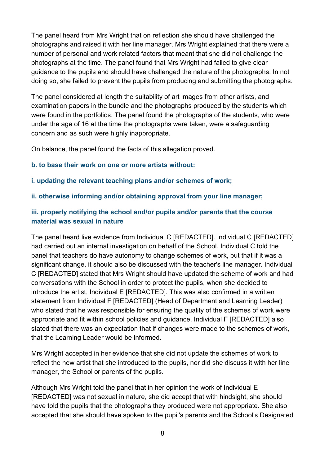The panel heard from Mrs Wright that on reflection she should have challenged the photographs and raised it with her line manager. Mrs Wright explained that there were a number of personal and work related factors that meant that she did not challenge the photographs at the time. The panel found that Mrs Wright had failed to give clear guidance to the pupils and should have challenged the nature of the photographs. In not doing so, she failed to prevent the pupils from producing and submitting the photographs.

The panel considered at length the suitability of art images from other artists, and examination papers in the bundle and the photographs produced by the students which were found in the portfolios. The panel found the photographs of the students, who were under the age of 16 at the time the photographs were taken, were a safeguarding concern and as such were highly inappropriate.

On balance, the panel found the facts of this allegation proved.

#### **b. to base their work on one or more artists without:**

#### **i. updating the relevant teaching plans and/or schemes of work;**

#### **ii. otherwise informing and/or obtaining approval from your line manager;**

#### **iii. properly notifying the school and/or pupils and/or parents that the course material was sexual in nature**

The panel heard live evidence from Individual C [REDACTED]. Individual C [REDACTED] had carried out an internal investigation on behalf of the School. Individual C told the panel that teachers do have autonomy to change schemes of work, but that if it was a significant change, it should also be discussed with the teacher's line manager. Individual C [REDACTED] stated that Mrs Wright should have updated the scheme of work and had conversations with the School in order to protect the pupils, when she decided to introduce the artist, Individual E [REDACTED]. This was also confirmed in a written statement from Individual F [REDACTED] (Head of Department and Learning Leader) who stated that he was responsible for ensuring the quality of the schemes of work were appropriate and fit within school policies and guidance. Individual F [REDACTED] also stated that there was an expectation that if changes were made to the schemes of work, that the Learning Leader would be informed.

Mrs Wright accepted in her evidence that she did not update the schemes of work to reflect the new artist that she introduced to the pupils, nor did she discuss it with her line manager, the School or parents of the pupils.

Although Mrs Wright told the panel that in her opinion the work of Individual E [REDACTED] was not sexual in nature, she did accept that with hindsight, she should have told the pupils that the photographs they produced were not appropriate. She also accepted that she should have spoken to the pupil's parents and the School's Designated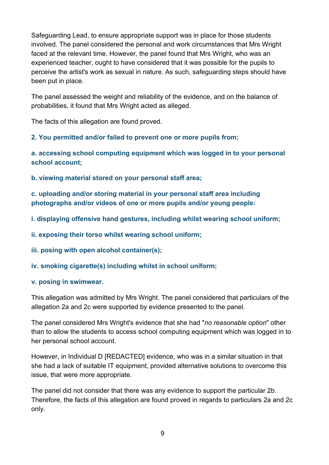Safeguarding Lead, to ensure appropriate support was in place for those students involved. The panel considered the personal and work circumstances that Mrs Wright faced at the relevant time. However, the panel found that Mrs Wright, who was an experienced teacher, ought to have considered that it was possible for the pupils to perceive the artist's work as sexual in nature. As such, safeguarding steps should have been put in place.

The panel assessed the weight and reliability of the evidence, and on the balance of probabilities, it found that Mrs Wright acted as alleged.

The facts of this allegation are found proved.

**2. You permitted and/or failed to prevent one or more pupils from;**

**a. accessing school computing equipment which was logged in to your personal school account;**

**b. viewing material stored on your personal staff area;**

**c. uploading and/or storing material in your personal staff area including photographs and/or videos of one or more pupils and/or young people:**

**i. displaying offensive hand gestures, including whilst wearing school uniform;**

**ii. exposing their torso whilst wearing school uniform;**

**iii. posing with open alcohol container(s);**

**iv. smoking cigarette(s) including whilst in school uniform;**

#### **v. posing in swimwear.**

This allegation was admitted by Mrs Wright. The panel considered that particulars of the allegation 2a and 2c were supported by evidence presented to the panel.

The panel considered Mrs Wright's evidence that she had "*no reasonable option*" other than to allow the students to access school computing equipment which was logged in to her personal school account.

However, in Individual D [REDACTED] evidence, who was in a similar situation in that she had a lack of suitable IT equipment, provided alternative solutions to overcome this issue, that were more appropriate.

The panel did not consider that there was any evidence to support the particular 2b. Therefore, the facts of this allegation are found proved in regards to particulars 2a and 2c only.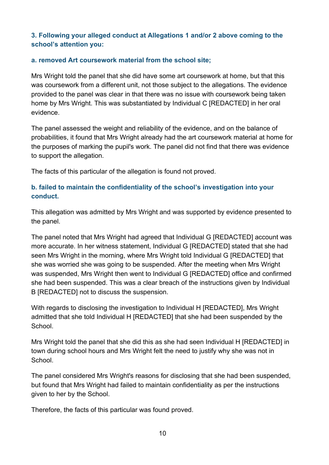#### **3. Following your alleged conduct at Allegations 1 and/or 2 above coming to the school's attention you:**

#### **a. removed Art coursework material from the school site;**

Mrs Wright told the panel that she did have some art coursework at home, but that this was coursework from a different unit, not those subject to the allegations. The evidence provided to the panel was clear in that there was no issue with coursework being taken home by Mrs Wright. This was substantiated by Individual C [REDACTED] in her oral evidence.

The panel assessed the weight and reliability of the evidence, and on the balance of probabilities, it found that Mrs Wright already had the art coursework material at home for the purposes of marking the pupil's work. The panel did not find that there was evidence to support the allegation.

The facts of this particular of the allegation is found not proved.

#### **b. failed to maintain the confidentiality of the school's investigation into your conduct.**

This allegation was admitted by Mrs Wright and was supported by evidence presented to the panel.

The panel noted that Mrs Wright had agreed that Individual G [REDACTED] account was more accurate. In her witness statement, Individual G [REDACTED] stated that she had seen Mrs Wright in the morning, where Mrs Wright told Individual G [REDACTED] that she was worried she was going to be suspended. After the meeting when Mrs Wright was suspended, Mrs Wright then went to Individual G [REDACTED] office and confirmed she had been suspended. This was a clear breach of the instructions given by Individual B [REDACTED] not to discuss the suspension.

With regards to disclosing the investigation to Individual H [REDACTED], Mrs Wright admitted that she told Individual H [REDACTED] that she had been suspended by the School.

Mrs Wright told the panel that she did this as she had seen Individual H [REDACTED] in town during school hours and Mrs Wright felt the need to justify why she was not in School.

The panel considered Mrs Wright's reasons for disclosing that she had been suspended, but found that Mrs Wright had failed to maintain confidentiality as per the instructions given to her by the School.

Therefore, the facts of this particular was found proved.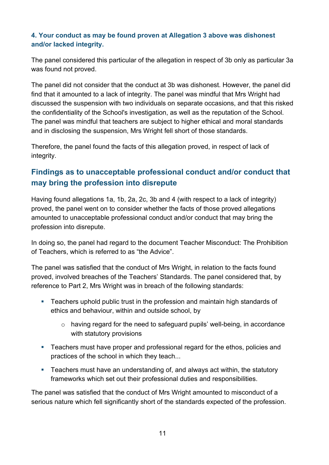#### **4. Your conduct as may be found proven at Allegation 3 above was dishonest and/or lacked integrity.**

The panel considered this particular of the allegation in respect of 3b only as particular 3a was found not proved.

The panel did not consider that the conduct at 3b was dishonest. However, the panel did find that it amounted to a lack of integrity. The panel was mindful that Mrs Wright had discussed the suspension with two individuals on separate occasions, and that this risked the confidentiality of the School's investigation, as well as the reputation of the School. The panel was mindful that teachers are subject to higher ethical and moral standards and in disclosing the suspension, Mrs Wright fell short of those standards.

Therefore, the panel found the facts of this allegation proved, in respect of lack of integrity.

## **Findings as to unacceptable professional conduct and/or conduct that may bring the profession into disrepute**

Having found allegations 1a, 1b, 2a, 2c, 3b and 4 (with respect to a lack of integrity) proved, the panel went on to consider whether the facts of those proved allegations amounted to unacceptable professional conduct and/or conduct that may bring the profession into disrepute.

In doing so, the panel had regard to the document Teacher Misconduct: The Prohibition of Teachers, which is referred to as "the Advice".

The panel was satisfied that the conduct of Mrs Wright, in relation to the facts found proved, involved breaches of the Teachers' Standards. The panel considered that, by reference to Part 2, Mrs Wright was in breach of the following standards:

- **Teachers uphold public trust in the profession and maintain high standards of** ethics and behaviour, within and outside school, by
	- o having regard for the need to safeguard pupils' well-being, in accordance with statutory provisions
- **EXECTER** Teachers must have proper and professional regard for the ethos, policies and practices of the school in which they teach...
- Teachers must have an understanding of, and always act within, the statutory frameworks which set out their professional duties and responsibilities.

The panel was satisfied that the conduct of Mrs Wright amounted to misconduct of a serious nature which fell significantly short of the standards expected of the profession.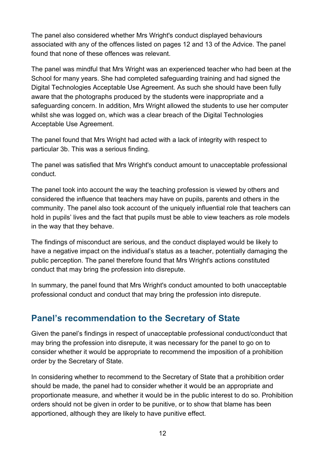The panel also considered whether Mrs Wright's conduct displayed behaviours associated with any of the offences listed on pages 12 and 13 of the Advice. The panel found that none of these offences was relevant.

The panel was mindful that Mrs Wright was an experienced teacher who had been at the School for many years. She had completed safeguarding training and had signed the Digital Technologies Acceptable Use Agreement. As such she should have been fully aware that the photographs produced by the students were inappropriate and a safeguarding concern. In addition, Mrs Wright allowed the students to use her computer whilst she was logged on, which was a clear breach of the Digital Technologies Acceptable Use Agreement.

The panel found that Mrs Wright had acted with a lack of integrity with respect to particular 3b. This was a serious finding.

The panel was satisfied that Mrs Wright's conduct amount to unacceptable professional conduct.

The panel took into account the way the teaching profession is viewed by others and considered the influence that teachers may have on pupils, parents and others in the community. The panel also took account of the uniquely influential role that teachers can hold in pupils' lives and the fact that pupils must be able to view teachers as role models in the way that they behave.

The findings of misconduct are serious, and the conduct displayed would be likely to have a negative impact on the individual's status as a teacher, potentially damaging the public perception. The panel therefore found that Mrs Wright's actions constituted conduct that may bring the profession into disrepute.

In summary, the panel found that Mrs Wright's conduct amounted to both unacceptable professional conduct and conduct that may bring the profession into disrepute.

## <span id="page-11-0"></span>**Panel's recommendation to the Secretary of State**

Given the panel's findings in respect of unacceptable professional conduct/conduct that may bring the profession into disrepute, it was necessary for the panel to go on to consider whether it would be appropriate to recommend the imposition of a prohibition order by the Secretary of State.

In considering whether to recommend to the Secretary of State that a prohibition order should be made, the panel had to consider whether it would be an appropriate and proportionate measure, and whether it would be in the public interest to do so. Prohibition orders should not be given in order to be punitive, or to show that blame has been apportioned, although they are likely to have punitive effect.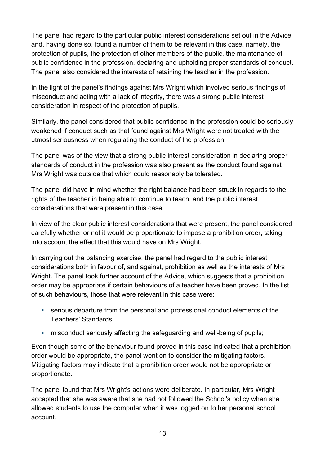The panel had regard to the particular public interest considerations set out in the Advice and, having done so, found a number of them to be relevant in this case, namely, the protection of pupils, the protection of other members of the public, the maintenance of public confidence in the profession, declaring and upholding proper standards of conduct. The panel also considered the interests of retaining the teacher in the profession.

In the light of the panel's findings against Mrs Wright which involved serious findings of misconduct and acting with a lack of integrity, there was a strong public interest consideration in respect of the protection of pupils.

Similarly, the panel considered that public confidence in the profession could be seriously weakened if conduct such as that found against Mrs Wright were not treated with the utmost seriousness when regulating the conduct of the profession.

The panel was of the view that a strong public interest consideration in declaring proper standards of conduct in the profession was also present as the conduct found against Mrs Wright was outside that which could reasonably be tolerated.

The panel did have in mind whether the right balance had been struck in regards to the rights of the teacher in being able to continue to teach, and the public interest considerations that were present in this case.

In view of the clear public interest considerations that were present, the panel considered carefully whether or not it would be proportionate to impose a prohibition order, taking into account the effect that this would have on Mrs Wright.

In carrying out the balancing exercise, the panel had regard to the public interest considerations both in favour of, and against, prohibition as well as the interests of Mrs Wright. The panel took further account of the Advice, which suggests that a prohibition order may be appropriate if certain behaviours of a teacher have been proved. In the list of such behaviours, those that were relevant in this case were:

- serious departure from the personal and professional conduct elements of the Teachers' Standards;
- **EXEDENT MISCONDUCT** misconduct seriously affecting the safeguarding and well-being of pupils;

Even though some of the behaviour found proved in this case indicated that a prohibition order would be appropriate, the panel went on to consider the mitigating factors. Mitigating factors may indicate that a prohibition order would not be appropriate or proportionate.

The panel found that Mrs Wright's actions were deliberate. In particular, Mrs Wright accepted that she was aware that she had not followed the School's policy when she allowed students to use the computer when it was logged on to her personal school account.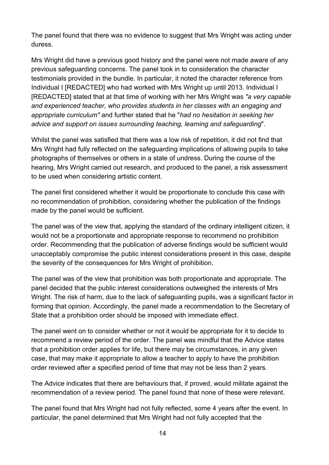The panel found that there was no evidence to suggest that Mrs Wright was acting under duress.

Mrs Wright did have a previous good history and the panel were not made aware of any previous safeguarding concerns. The panel took in to consideration the character testimonials provided in the bundle. In particular, it noted the character reference from Individual I [REDACTED] who had worked with Mrs Wright up until 2013. Individual I [REDACTED] stated that at that time of working with her Mrs Wright was *"a very capable and experienced teacher, who provides students in her classes with an engaging and appropriate curriculum"* and further stated that he "*had no hesitation in seeking her advice and support on issues surrounding teaching, learning and safeguarding*".

Whilst the panel was satisfied that there was a low risk of repetition, it did not find that Mrs Wright had fully reflected on the safeguarding implications of allowing pupils to take photographs of themselves or others in a state of undress. During the course of the hearing, Mrs Wright carried out research, and produced to the panel, a risk assessment to be used when considering artistic content.

The panel first considered whether it would be proportionate to conclude this case with no recommendation of prohibition, considering whether the publication of the findings made by the panel would be sufficient.

The panel was of the view that, applying the standard of the ordinary intelligent citizen, it would not be a proportionate and appropriate response to recommend no prohibition order. Recommending that the publication of adverse findings would be sufficient would unacceptably compromise the public interest considerations present in this case, despite the severity of the consequences for Mrs Wright of prohibition.

The panel was of the view that prohibition was both proportionate and appropriate. The panel decided that the public interest considerations outweighed the interests of Mrs Wright. The risk of harm, due to the lack of safeguarding pupils, was a significant factor in forming that opinion. Accordingly, the panel made a recommendation to the Secretary of State that a prohibition order should be imposed with immediate effect.

The panel went on to consider whether or not it would be appropriate for it to decide to recommend a review period of the order. The panel was mindful that the Advice states that a prohibition order applies for life, but there may be circumstances, in any given case, that may make it appropriate to allow a teacher to apply to have the prohibition order reviewed after a specified period of time that may not be less than 2 years.

The Advice indicates that there are behaviours that, if proved, would militate against the recommendation of a review period. The panel found that none of these were relevant.

The panel found that Mrs Wright had not fully reflected, some 4 years after the event. In particular, the panel determined that Mrs Wright had not fully accepted that the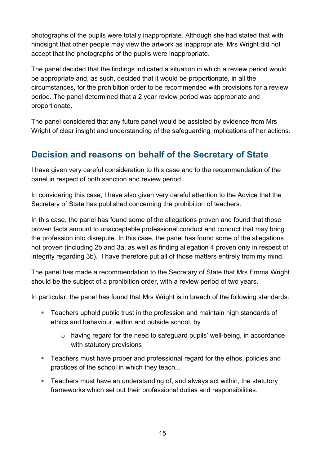photographs of the pupils were totally inappropriate. Although she had stated that with hindsight that other people may view the artwork as inappropriate, Mrs Wright did not accept that the photographs of the pupils were inappropriate.

The panel decided that the findings indicated a situation in which a review period would be appropriate and, as such, decided that it would be proportionate, in all the circumstances, for the prohibition order to be recommended with provisions for a review period. The panel determined that a 2 year review period was appropriate and proportionate.

The panel considered that any future panel would be assisted by evidence from Mrs Wright of clear insight and understanding of the safeguarding implications of her actions.

# <span id="page-14-0"></span>**Decision and reasons on behalf of the Secretary of State**

I have given very careful consideration to this case and to the recommendation of the panel in respect of both sanction and review period.

In considering this case, I have also given very careful attention to the Advice that the Secretary of State has published concerning the prohibition of teachers.

In this case, the panel has found some of the allegations proven and found that those proven facts amount to unacceptable professional conduct and conduct that may bring the profession into disrepute. In this case, the panel has found some of the allegations not proven (including 2b and 3a, as well as finding allegation 4 proven only in respect of integrity regarding 3b). I have therefore put all of those matters entirely from my mind.

The panel has made a recommendation to the Secretary of State that Mrs Emma Wright should be the subject of a prohibition order, with a review period of two years.

In particular, the panel has found that Mrs Wright is in breach of the following standards:

- Teachers uphold public trust in the profession and maintain high standards of ethics and behaviour, within and outside school, by
	- o having regard for the need to safeguard pupils' well-being, in accordance with statutory provisions
- **Teachers must have proper and professional regard for the ethos, policies and** practices of the school in which they teach...
- Teachers must have an understanding of, and always act within, the statutory frameworks which set out their professional duties and responsibilities.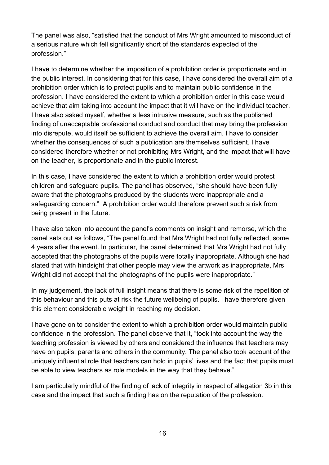The panel was also, "satisfied that the conduct of Mrs Wright amounted to misconduct of a serious nature which fell significantly short of the standards expected of the profession."

I have to determine whether the imposition of a prohibition order is proportionate and in the public interest. In considering that for this case, I have considered the overall aim of a prohibition order which is to protect pupils and to maintain public confidence in the profession. I have considered the extent to which a prohibition order in this case would achieve that aim taking into account the impact that it will have on the individual teacher. I have also asked myself, whether a less intrusive measure, such as the published finding of unacceptable professional conduct and conduct that may bring the profession into disrepute, would itself be sufficient to achieve the overall aim. I have to consider whether the consequences of such a publication are themselves sufficient. I have considered therefore whether or not prohibiting Mrs Wright, and the impact that will have on the teacher, is proportionate and in the public interest.

In this case, I have considered the extent to which a prohibition order would protect children and safeguard pupils. The panel has observed, "she should have been fully aware that the photographs produced by the students were inappropriate and a safeguarding concern." A prohibition order would therefore prevent such a risk from being present in the future.

I have also taken into account the panel's comments on insight and remorse, which the panel sets out as follows, "The panel found that Mrs Wright had not fully reflected, some 4 years after the event. In particular, the panel determined that Mrs Wright had not fully accepted that the photographs of the pupils were totally inappropriate. Although she had stated that with hindsight that other people may view the artwork as inappropriate, Mrs Wright did not accept that the photographs of the pupils were inappropriate."

In my judgement, the lack of full insight means that there is some risk of the repetition of this behaviour and this puts at risk the future wellbeing of pupils. I have therefore given this element considerable weight in reaching my decision.

I have gone on to consider the extent to which a prohibition order would maintain public confidence in the profession. The panel observe that it, "took into account the way the teaching profession is viewed by others and considered the influence that teachers may have on pupils, parents and others in the community. The panel also took account of the uniquely influential role that teachers can hold in pupils' lives and the fact that pupils must be able to view teachers as role models in the way that they behave."

I am particularly mindful of the finding of lack of integrity in respect of allegation 3b in this case and the impact that such a finding has on the reputation of the profession.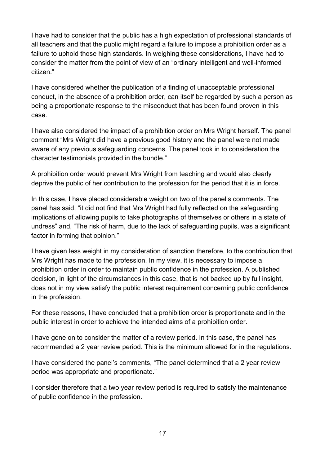I have had to consider that the public has a high expectation of professional standards of all teachers and that the public might regard a failure to impose a prohibition order as a failure to uphold those high standards. In weighing these considerations, I have had to consider the matter from the point of view of an "ordinary intelligent and well-informed citizen."

I have considered whether the publication of a finding of unacceptable professional conduct, in the absence of a prohibition order, can itself be regarded by such a person as being a proportionate response to the misconduct that has been found proven in this case.

I have also considered the impact of a prohibition order on Mrs Wright herself. The panel comment "Mrs Wright did have a previous good history and the panel were not made aware of any previous safeguarding concerns. The panel took in to consideration the character testimonials provided in the bundle."

A prohibition order would prevent Mrs Wright from teaching and would also clearly deprive the public of her contribution to the profession for the period that it is in force.

In this case, I have placed considerable weight on two of the panel's comments. The panel has said, "it did not find that Mrs Wright had fully reflected on the safeguarding implications of allowing pupils to take photographs of themselves or others in a state of undress" and, "The risk of harm, due to the lack of safeguarding pupils, was a significant factor in forming that opinion."

I have given less weight in my consideration of sanction therefore, to the contribution that Mrs Wright has made to the profession. In my view, it is necessary to impose a prohibition order in order to maintain public confidence in the profession. A published decision, in light of the circumstances in this case, that is not backed up by full insight, does not in my view satisfy the public interest requirement concerning public confidence in the profession.

For these reasons, I have concluded that a prohibition order is proportionate and in the public interest in order to achieve the intended aims of a prohibition order.

I have gone on to consider the matter of a review period. In this case, the panel has recommended a 2 year review period. This is the minimum allowed for in the regulations.

I have considered the panel's comments, "The panel determined that a 2 year review period was appropriate and proportionate."

I consider therefore that a two year review period is required to satisfy the maintenance of public confidence in the profession.